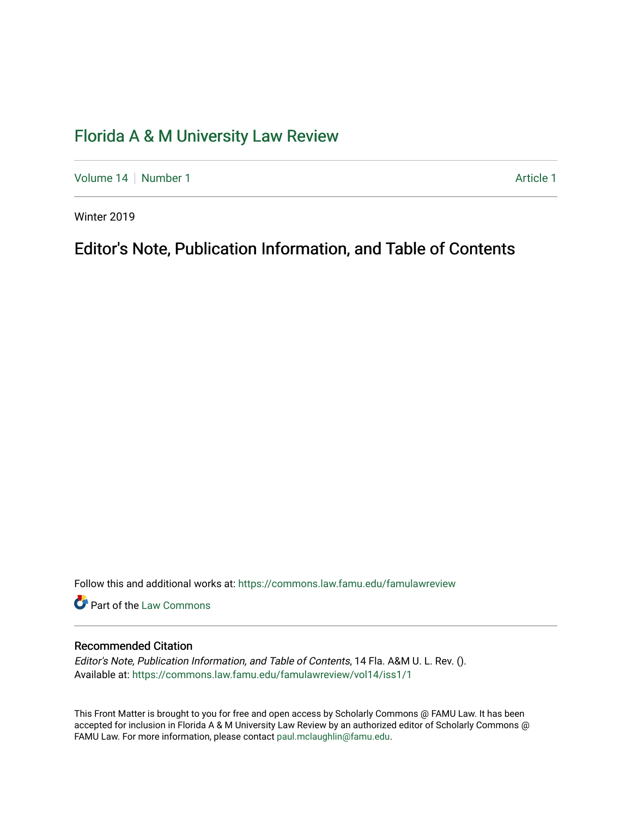# [Florida A & M University Law Review](https://commons.law.famu.edu/famulawreview)

[Volume 14](https://commons.law.famu.edu/famulawreview/vol14) [Number 1](https://commons.law.famu.edu/famulawreview/vol14/iss1) Article 1

Winter 2019

# Editor's Note, Publication Information, and Table of Contents

Follow this and additional works at: [https://commons.law.famu.edu/famulawreview](https://commons.law.famu.edu/famulawreview?utm_source=commons.law.famu.edu%2Ffamulawreview%2Fvol14%2Fiss1%2F1&utm_medium=PDF&utm_campaign=PDFCoverPages) 

Part of the [Law Commons](http://network.bepress.com/hgg/discipline/578?utm_source=commons.law.famu.edu%2Ffamulawreview%2Fvol14%2Fiss1%2F1&utm_medium=PDF&utm_campaign=PDFCoverPages)

## Recommended Citation

Editor's Note, Publication Information, and Table of Contents, 14 Fla. A&M U. L. Rev. (). Available at: [https://commons.law.famu.edu/famulawreview/vol14/iss1/1](https://commons.law.famu.edu/famulawreview/vol14/iss1/1?utm_source=commons.law.famu.edu%2Ffamulawreview%2Fvol14%2Fiss1%2F1&utm_medium=PDF&utm_campaign=PDFCoverPages)

This Front Matter is brought to you for free and open access by Scholarly Commons @ FAMU Law. It has been accepted for inclusion in Florida A & M University Law Review by an authorized editor of Scholarly Commons @ FAMU Law. For more information, please contact [paul.mclaughlin@famu.edu.](mailto:paul.mclaughlin@famu.edu)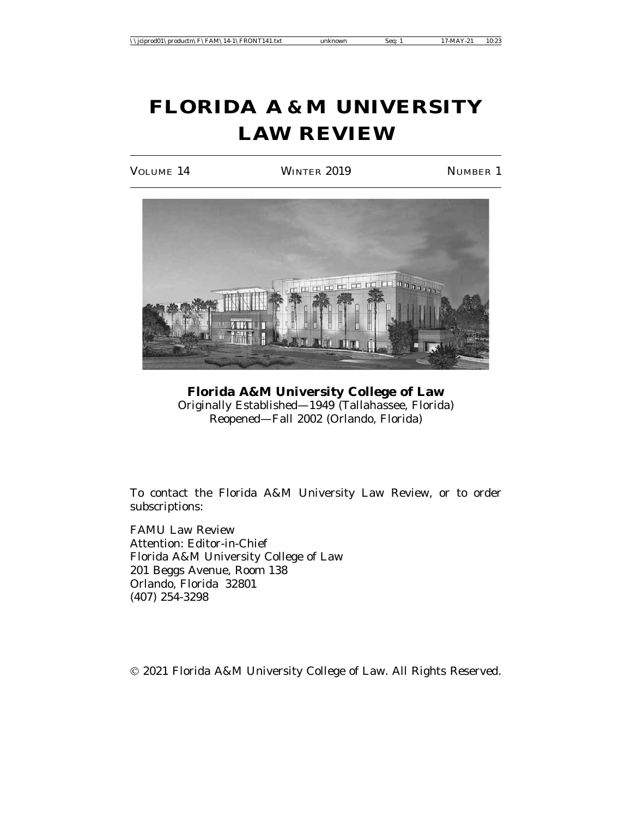VOLUME 14 WINTER 2019 NUMBER 1



**Florida A&M University College of Law** Originally Established—1949 (Tallahassee, Florida) Reopened—Fall 2002 (Orlando, Florida)

To contact the Florida A&M University Law Review, or to order subscriptions:

FAMU Law Review Attention: Editor-in-Chief Florida A&M University College of Law 201 Beggs Avenue, Room 138 Orlando, Florida 32801 (407) 254-3298

© 2021 Florida A&M University College of Law. All Rights Reserved.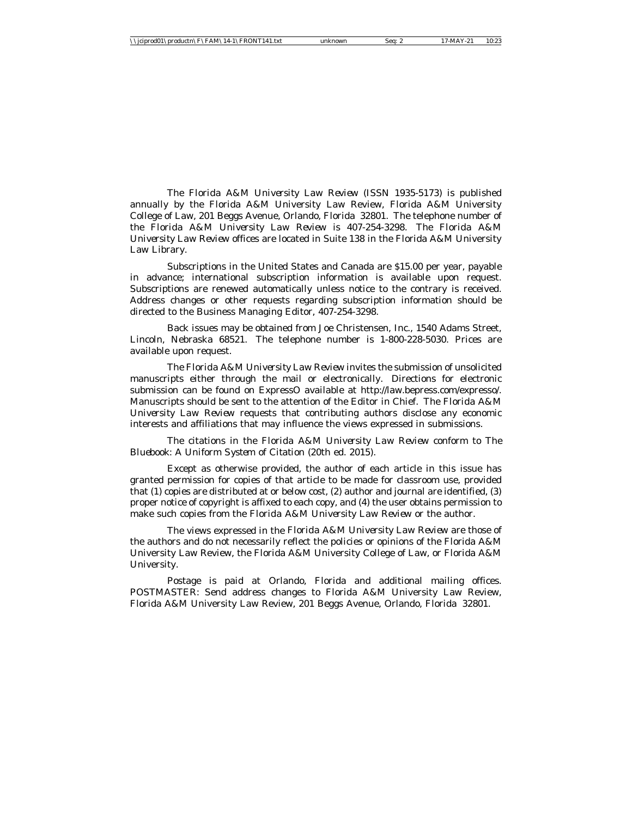The *Florida A&M University Law Review* (ISSN 1935-5173) is published annually by the Florida A&M University Law Review, Florida A&M University College of Law, 201 Beggs Avenue, Orlando, Florida 32801. The telephone number of the *Florida A&M University Law Review* is 407-254-3298. The *Florida A&M University Law Review* offices are located in Suite 138 in the Florida A&M University Law Library.

Subscriptions in the United States and Canada are \$15.00 per year, payable in advance; international subscription information is available upon request. Subscriptions are renewed automatically unless notice to the contrary is received. Address changes or other requests regarding subscription information should be directed to the Business Managing Editor, 407-254-3298.

Back issues may be obtained from Joe Christensen, Inc., 1540 Adams Street, Lincoln, Nebraska 68521. The telephone number is 1-800-228-5030. Prices are available upon request.

The *Florida A&M University Law Review* invites the submission of unsolicited manuscripts either through the mail or electronically. Directions for electronic submission can be found on ExpressO available at http://law.bepress.com/expresso/. Manuscripts should be sent to the attention of the Editor in Chief. The *Florida A&M University Law Review* requests that contributing authors disclose any economic interests and affiliations that may influence the views expressed in submissions.

The citations in the *Florida A&M University Law Review* conform to *The Bluebook: A Uniform System of Citation* (20th ed. 2015).

Except as otherwise provided, the author of each article in this issue has granted permission for copies of that article to be made for classroom use, provided that (1) copies are distributed at or below cost, (2) author and journal are identified, (3) proper notice of copyright is affixed to each copy, and (4) the user obtains permission to make such copies from the *Florida A&M University Law Review* or the author.

The views expressed in the *Florida A&M University Law Review* are those of the authors and do not necessarily reflect the policies or opinions of the Florida A&M University Law Review, the Florida A&M University College of Law, or Florida A&M University.

Postage is paid at Orlando, Florida and additional mailing offices. POSTMASTER: Send address changes to Florida A&M University Law Review, Florida A&M University Law Review, 201 Beggs Avenue, Orlando, Florida 32801.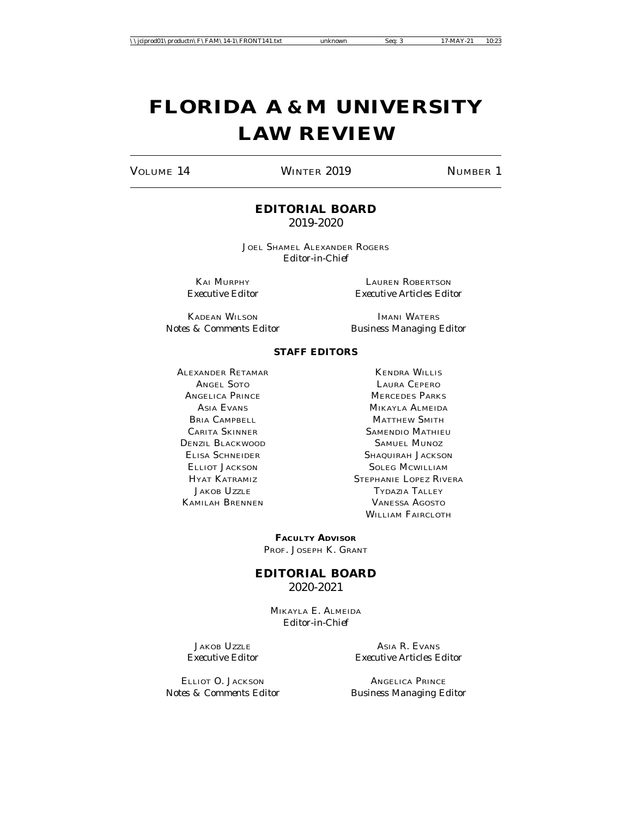VOLUME 14 WINTER 2019 NUMBER 1

## **EDITORIAL BOARD** 2019-2020

JOEL SHAMEL ALEXANDER ROGERS *Editor-in-Chief*

KAI MURPHY LAUREN ROBERTSON *Executive Editor Executive Articles Editor*

*Notes & Comments Editor Business Managing Editor*

KADEAN WILSON IMANI WATERS

### **STAFF EDITORS**

- ALEXANDER RETAMAR KENDRA WILLIS DENZIL BLACKWOOD SAMUEL MUNOZ KAMILAH BRENNEN VANESSA AGOSTO
	- ANGEL SOTO LAURA CEPERO ANGELICA PRINCE MERCEDES PARKS ASIA EVANS MIKAYLA ALMEIDA BRIA CAMPBELL MATTHEW SMITH **CARITA SKINNER SAMENDIO MATHIEU** ELISA SCHNEIDER SHAQUIRAH JACKSON ELLIOT JACKSON SOLEG MCWILLIAM HYAT KATRAMIZ STEPHANIE LOPEZ RIVERA JAKOB UZZLE TYDAZIA TALLEY WILLIAM FAIRCLOTH

**FACULTY ADVISOR** PROF. JOSEPH K. GRANT

## **EDITORIAL BOARD** 2020-2021

MIKAYLA E. ALMEIDA *Editor-in-Chief*

JAKOB UZZLE ASIA R. EVANS *Executive Editor Executive Articles Editor*

ELLIOT O. JACKSON ANGELICA PRINCE *Notes & Comments Editor Business Managing Editor*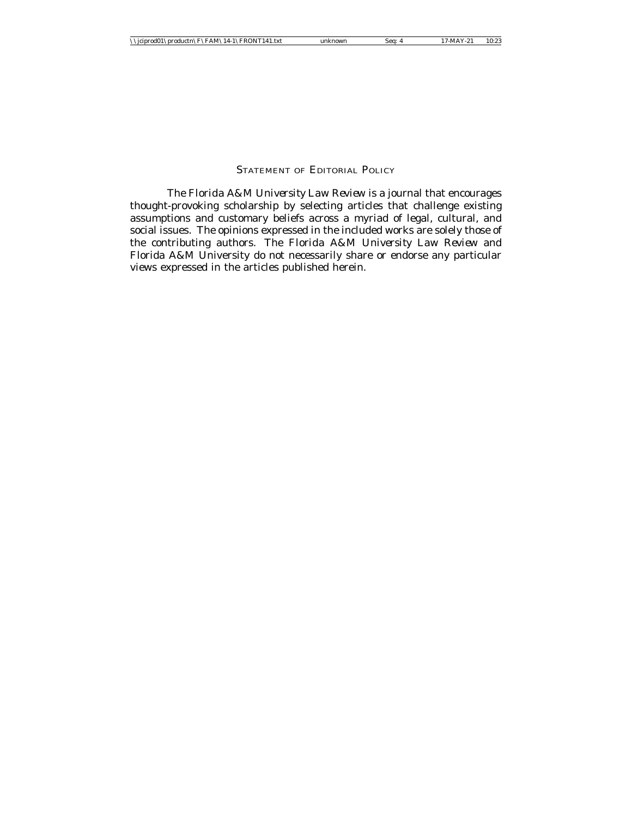## STATEMENT OF EDITORIAL POLICY

The *Florida A&M University Law Review* is a journal that encourages thought-provoking scholarship by selecting articles that challenge existing assumptions and customary beliefs across a myriad of legal, cultural, and social issues. The opinions expressed in the included works are solely those of the contributing authors. The *Florida A&M University Law Review* and Florida A&M University do not necessarily share or endorse any particular views expressed in the articles published herein.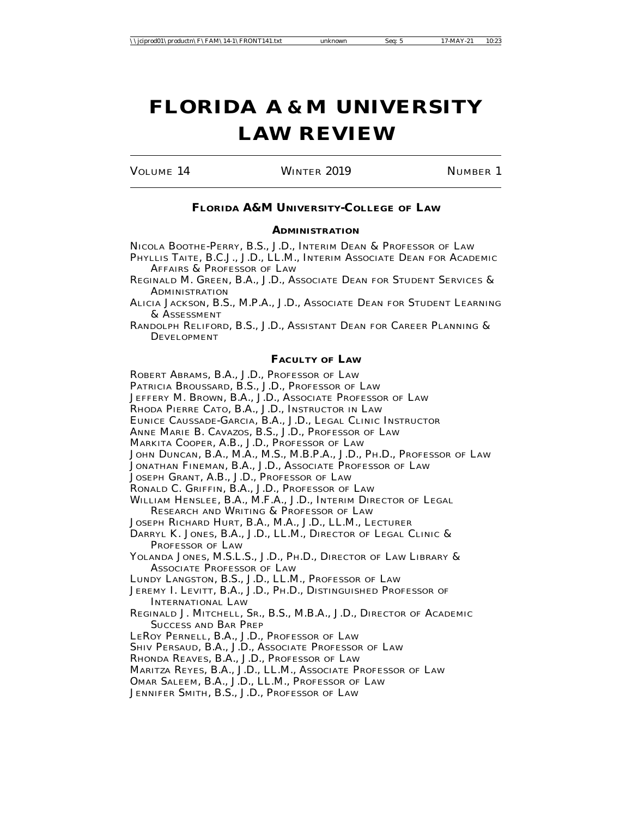VOLUME 14 **WINTER 2019** NUMBER 1

### **FLORIDA A&M UNIVERSITY-COLLEGE OF LAW**

#### **ADMINISTRATION**

NICOLA BOOTHE-PERRY, B.S., J.D., INTERIM DEAN & PROFESSOR OF LAW PHYLLIS TAITE, B.C.J., J.D., LL.M., INTERIM ASSOCIATE DEAN FOR ACADEMIC

AFFAIRS & PROFESSOR OF LAW

REGINALD M. GREEN, B.A., J.D., ASSOCIATE DEAN FOR STUDENT SERVICES & **ADMINISTRATION** 

ALICIA JACKSON, B.S., M.P.A., J.D., ASSOCIATE DEAN FOR STUDENT LEARNING & ASSESSMENT

RANDOLPH RELIFORD, B.S., J.D., ASSISTANT DEAN FOR CAREER PLANNING & DEVELOPMENT

#### **FACULTY OF LAW**

ROBERT ABRAMS, B.A., J.D., PROFESSOR OF LAW

PATRICIA BROUSSARD, B.S., J.D., PROFESSOR OF LAW

JEFFERY M. BROWN, B.A., J.D., ASSOCIATE PROFESSOR OF LAW

RHODA PIERRE CATO, B.A., J.D., INSTRUCTOR IN LAW

EUNICE CAUSSADE-GARCIA, B.A., J.D., LEGAL CLINIC INSTRUCTOR

ANNE MARIE B. CAVAZOS, B.S., J.D., PROFESSOR OF LAW

MARKITA COOPER, A.B., J.D., PROFESSOR OF LAW

JOHN DUNCAN, B.A., M.A., M.S., M.B.P.A., J.D., PH.D., PROFESSOR OF LAW

JONATHAN FINEMAN, B.A., J.D., ASSOCIATE PROFESSOR OF LAW

JOSEPH GRANT, A.B., J.D., PROFESSOR OF LAW

RONALD C. GRIFFIN, B.A., J.D., PROFESSOR OF LAW

WILLIAM HENSLEE, B.A., M.F.A., J.D., INTERIM DIRECTOR OF LEGAL RESEARCH AND WRITING & PROFESSOR OF LAW

JOSEPH RICHARD HURT, B.A., M.A., J.D., LL.M., LECTURER

DARRYL K. JONES, B.A., J.D., LL.M., DIRECTOR OF LEGAL CLINIC & PROFESSOR OF LAW

YOLANDA JONES, M.S.L.S., J.D., PH.D., DIRECTOR OF LAW LIBRARY & ASSOCIATE PROFESSOR OF LAW

LUNDY LANGSTON, B.S., J.D., LL.M., PROFESSOR OF LAW

JEREMY I. LEVITT, B.A., J.D., PH.D., DISTINGUISHED PROFESSOR OF INTERNATIONAL LAW

REGINALD J. MITCHELL, SR., B.S., M.B.A., J.D., DIRECTOR OF ACADEMIC SUCCESS AND BAR PREP

LEROY PERNELL, B.A., J.D., PROFESSOR OF LAW

SHIV PERSAUD, B.A., J.D., ASSOCIATE PROFESSOR OF LAW

RHONDA REAVES, B.A., J.D., PROFESSOR OF LAW

MARITZA REYES, B.A., J.D., LL.M., ASSOCIATE PROFESSOR OF LAW

OMAR SALEEM, B.A., J.D., LL.M., PROFESSOR OF LAW

JENNIFER SMITH, B.S., J.D., PROFESSOR OF LAW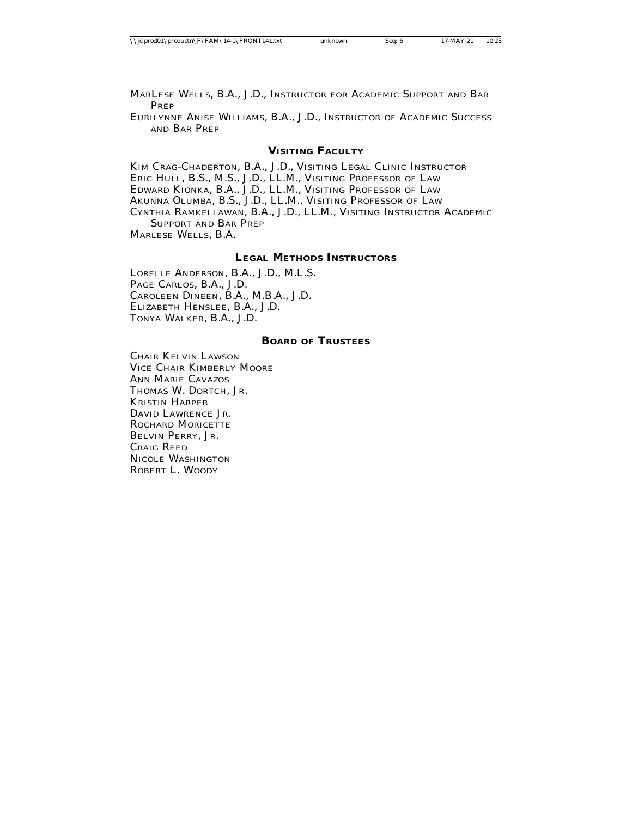MARLESE WELLS, B.A., J.D., INSTRUCTOR FOR ACADEMIC SUPPORT AND BAR PREP

EURILYNNE ANISE WILLIAMS, B.A., J.D., INSTRUCTOR OF ACADEMIC SUCCESS AND BAR PREP

### **VISITING FACULTY**

KIM CRAG-CHADERTON, B.A., J.D., VISITING LEGAL CLINIC INSTRUCTOR ERIC HULL, B.S., M.S., J.D., LL.M., VISITING PROFESSOR OF LAW EDWARD KIONKA, B.A., J.D., LL.M., VISITING PROFESSOR OF LAW AKUNNA OLUMBA, B.S., J.D., LL.M., VISITING PROFESSOR OF LAW CYNTHIA RAMKELLAWAN, B.A., J.D., LL.M., VISITING INSTRUCTOR ACADEMIC SUPPORT AND BAR PREP MARLESE WELLS, B.A.

### **LEGAL METHODS INSTRUCTORS**

LORELLE ANDERSON, B.A., J.D., M.L.S. PAGE CARLOS, B.A., J.D. CAROLEEN DINEEN, B.A., M.B.A., J.D. ELIZABETH HENSLEE, B.A., J.D. TONYA WALKER, B.A., J.D.

#### **BOARD OF TRUSTEES**

CHAIR KELVIN LAWSON VICE CHAIR KIMBERLY MOORE ANN MARIE CAVAZOS THOMAS W. DORTCH, JR. KRISTIN HARPER DAVID LAWRENCE JR. ROCHARD MORICETTE BELVIN PERRY, JR. CRAIG REED NICOLE WASHINGTON ROBERT L. WOODY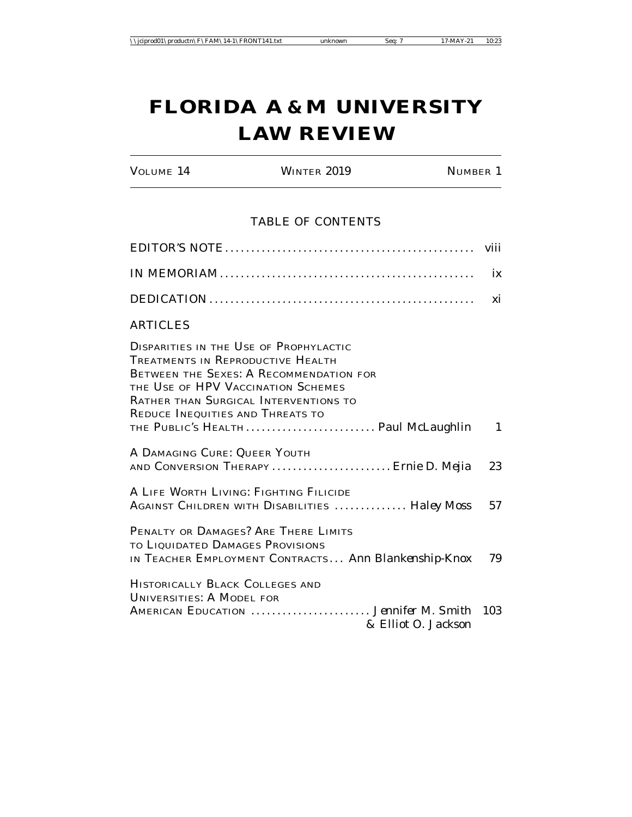| VOLUME 14 | WINTER 2019 | NUMBER 1 |
|-----------|-------------|----------|
|           |             |          |

## TABLE OF CONTENTS

|                                                                                                                                                                                                                     | viii         |
|---------------------------------------------------------------------------------------------------------------------------------------------------------------------------------------------------------------------|--------------|
|                                                                                                                                                                                                                     | ix           |
|                                                                                                                                                                                                                     | xi           |
| <b>ARTICLES</b>                                                                                                                                                                                                     |              |
| <b>DISPARITIES IN THE USE OF PROPHYLACTIC</b><br>TREATMENTS IN REPRODUCTIVE HEALTH<br><b>BETWEEN THE SEXES: A RECOMMENDATION FOR</b><br>THE USE OF HPV VACCINATION SCHEMES<br>RATHER THAN SURGICAL INTERVENTIONS TO |              |
| <b>REDUCE INEQUITIES AND THREATS TO</b><br>THE PUBLIC'S HEALTH Paul McLaughlin                                                                                                                                      | $\mathbf{1}$ |
| A DAMAGING CURE: QUEER YOUTH<br>AND CONVERSION THERAPY Ernie D. Mejia                                                                                                                                               | 23           |
| A LIFE WORTH LIVING: FIGHTING FILICIDE<br>AGAINST CHILDREN WITH DISABILITIES  Haley Moss                                                                                                                            | 57           |
| PENALTY OR DAMAGES? ARE THERE LIMITS<br>TO LIQUIDATED DAMAGES PROVISIONS<br>IN TEACHER EMPLOYMENT CONTRACTS Ann Blankenship-Knox                                                                                    | 79           |
| <b>HISTORICALLY BLACK COLLEGES AND</b><br><b>UNIVERSITIES: A MODEL FOR</b><br>AMERICAN EDUCATION  Jennifer M. Smith 103<br>& Elliot O. Jackson                                                                      |              |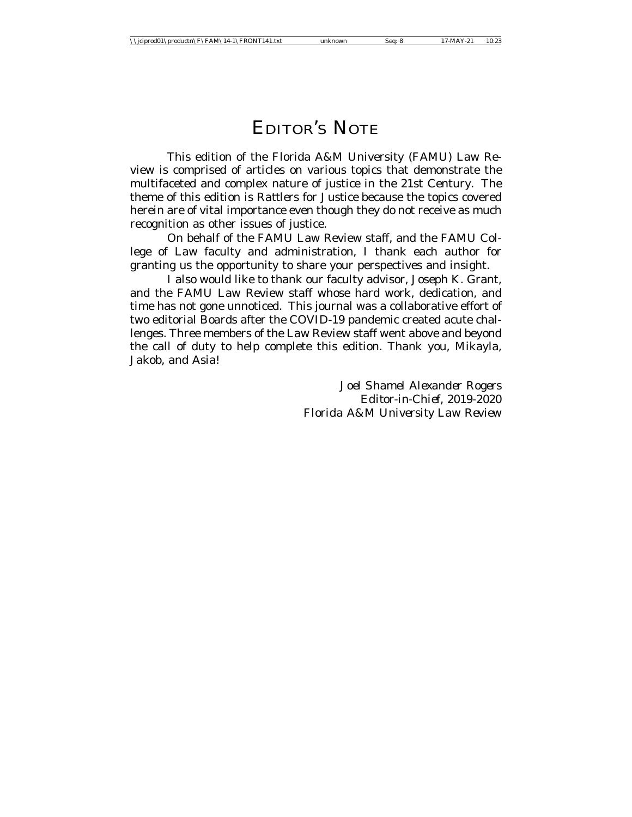# EDITOR'S NOTE

This edition of the Florida A&M University (FAMU) Law Review is comprised of articles on various topics that demonstrate the multifaceted and complex nature of justice in the 21st Century. The theme of this edition is *Rattlers for Justice* because the topics covered herein are of vital importance even though they do not receive as much recognition as other issues of justice.

On behalf of the FAMU Law Review staff, and the FAMU College of Law faculty and administration, I thank each author for granting us the opportunity to share your perspectives and insight.

I also would like to thank our faculty advisor, Joseph K. Grant, and the FAMU Law Review staff whose hard work, dedication, and time has not gone unnoticed. This journal was a collaborative effort of two editorial Boards after the COVID-19 pandemic created acute challenges. Three members of the Law Review staff went above and beyond the call of duty to help complete this edition. Thank you, Mikayla, Jakob, and Asia!

> *Joel Shamel Alexander Rogers Editor-in-Chief*, *2019-2020 Florida A&M University Law Review*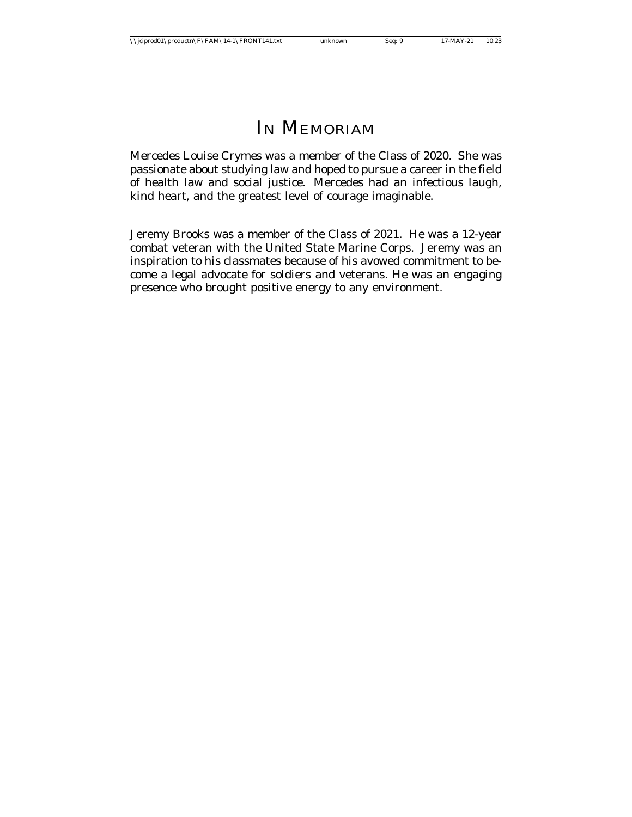# IN MEMORIAM

Mercedes Louise Crymes was a member of the Class of 2020. She was passionate about studying law and hoped to pursue a career in the field of health law and social justice. Mercedes had an infectious laugh, kind heart, and the greatest level of courage imaginable.

Jeremy Brooks was a member of the Class of 2021. He was a 12-year combat veteran with the United State Marine Corps. Jeremy was an inspiration to his classmates because of his avowed commitment to become a legal advocate for soldiers and veterans. He was an engaging presence who brought positive energy to any environment.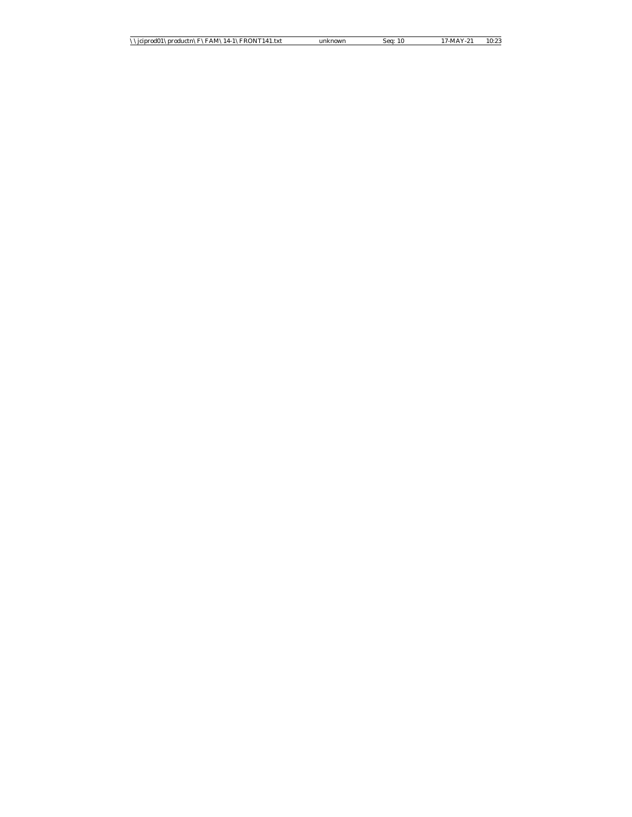| \\iciprod01\productn\F\FAM\14-1\FRONT141.txt | unknown | Seq:<br>-10 | -MAY | 10:23 |
|----------------------------------------------|---------|-------------|------|-------|